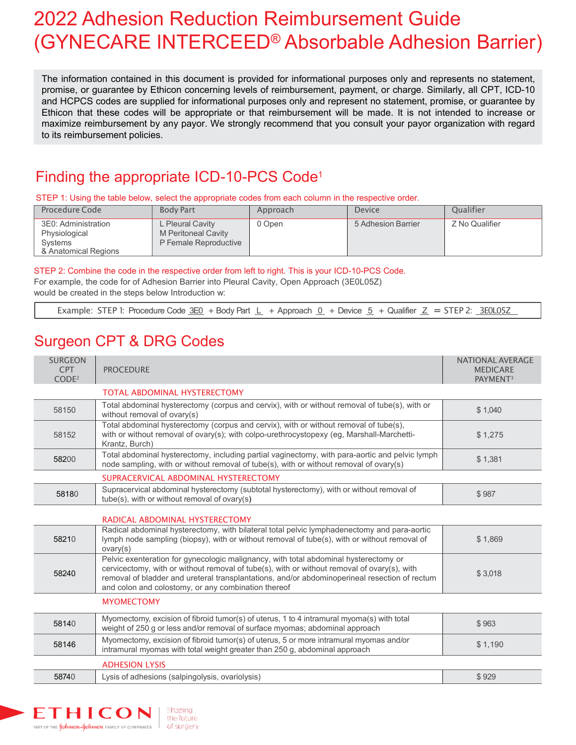# 2022 Adhesion Reduction Reimbursement Guide (GYNECARE INTERCEED® Absorbable Adhesion Barrier)

The information contained in this document is provided for informational purposes only and represents no statement, promise, or guarantee by Ethicon concerning levels of reimbursement, payment, or charge. Similarly, all CPT, ICD-10 and HCPCS codes are supplied for informational purposes only and represent no statement, promise, or guarantee by Ethicon that these codes will be appropriate or that reimbursement will be made. It is not intended to increase or maximize reimbursement by any payor. We strongly recommend that you consult your payor organization with regard to its reimbursement policies.

## Finding the appropriate ICD-10-PCS Code1

STEP 1: Using the table below, select the appropriate codes from each column in the respective order.

| Procedure Code                                                          | <b>Body Part</b>                                                        | Approach | <b>Device</b>      | Oualifier      |
|-------------------------------------------------------------------------|-------------------------------------------------------------------------|----------|--------------------|----------------|
| 3E0: Administration<br>Physiological<br>Systems<br>& Anatomical Regions | L Pleural Cavity<br>M Peritoneal Cavity<br><b>P Female Reproductive</b> | 0 Open   | 5 Adhesion Barrier | Z No Qualifier |

STEP 2: Combine the code in the respective order from left to right. This is your ICD-10-PCS Code.

For example, the code for of Adhesion Barrier into Pleural Cavity, Open Approach (3E0L05Z) would be created in the steps below Introduction w:

Example: STEP 1: Procedure Code  $3E0 + B$ ody Part  $L + A$ pproach  $0 + D$ evice  $5 + Q$ ualifier  $Z =$  STEP 2:  $3E0L05Z$ 

### Surgeon CPT & DRG Codes

| <b>SURGEON</b><br><b>CPT</b><br>CODE <sup>2</sup> | <b>PROCEDURE</b>                                                                                                                                                                                                                                                                                                                            | NATIONAL AVERAGE<br><b>MEDICARE</b><br>PAYMENT <sup>3</sup> |
|---------------------------------------------------|---------------------------------------------------------------------------------------------------------------------------------------------------------------------------------------------------------------------------------------------------------------------------------------------------------------------------------------------|-------------------------------------------------------------|
|                                                   | <b>TOTAL ABDOMINAL HYSTERECTOMY</b>                                                                                                                                                                                                                                                                                                         |                                                             |
| 58150                                             | Total abdominal hysterectomy (corpus and cervix), with or without removal of tube(s), with or<br>without removal of ovary(s)                                                                                                                                                                                                                | \$1,040                                                     |
| 58152                                             | Total abdominal hysterectomy (corpus and cervix), with or without removal of tube(s),<br>with or without removal of ovary(s); with colpo-urethrocystopexy (eg, Marshall-Marchetti-<br>Krantz, Burch)                                                                                                                                        | \$1,275                                                     |
| 58200                                             | Total abdominal hysterectomy, including partial vaginectomy, with para-aortic and pelvic lymph<br>node sampling, with or without removal of tube(s), with or without removal of ovary(s)                                                                                                                                                    | \$1,381                                                     |
|                                                   | SUPRACERVICAL ABDOMINAL HYSTERECTOMY                                                                                                                                                                                                                                                                                                        |                                                             |
| 58180                                             | Supracervical abdominal hysterectomy (subtotal hysterectomy), with or without removal of<br>tube(s), with or without removal of ovary(s)                                                                                                                                                                                                    | \$987                                                       |
|                                                   | RADICAL ABDOMINAL HYSTERECTOMY                                                                                                                                                                                                                                                                                                              |                                                             |
| 58210                                             | Radical abdominal hysterectomy, with bilateral total pelvic lymphadenectomy and para-aortic<br>lymph node sampling (biopsy), with or without removal of tube(s), with or without removal of<br>ovary(s)                                                                                                                                     | \$1,869                                                     |
| 58240                                             | Pelvic exenteration for gynecologic malignancy, with total abdominal hysterectomy or<br>cervicectomy, with or without removal of tube(s), with or without removal of ovary(s), with<br>removal of bladder and ureteral transplantations, and/or abdominoperineal resection of rectum<br>and colon and colostomy, or any combination thereof |                                                             |
|                                                   | <b>MYOMECTOMY</b>                                                                                                                                                                                                                                                                                                                           |                                                             |
| 58140                                             | Myomectomy, excision of fibroid tumor(s) of uterus, 1 to 4 intramural myoma(s) with total<br>weight of 250 g or less and/or removal of surface myomas; abdominal approach                                                                                                                                                                   | \$963                                                       |
| 58146                                             | Myomectomy, excision of fibroid tumor(s) of uterus, 5 or more intramural myomas and/or<br>intramural myomas with total weight greater than 250 g, abdominal approach                                                                                                                                                                        | \$1,190                                                     |
|                                                   | <b>ADHESION LYSIS</b>                                                                                                                                                                                                                                                                                                                       |                                                             |
| 58740                                             | Lysis of adhesions (salpingolysis, ovariolysis)                                                                                                                                                                                                                                                                                             | \$929                                                       |